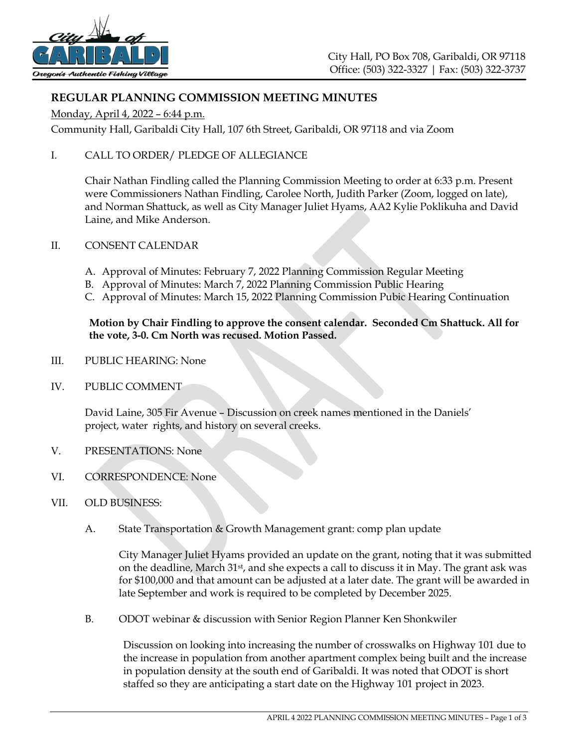

# **REGULAR PLANNING COMMISSION MEETING MINUTES**

Monday, April 4, 2022 – 6:44 p.m.

Community Hall, Garibaldi City Hall, 107 6th Street, Garibaldi, OR 97118 and via Zoom

I. CALL TO ORDER/ PLEDGE OF ALLEGIANCE

Chair Nathan Findling called the Planning Commission Meeting to order at 6:33 p.m. Present were Commissioners Nathan Findling, Carolee North, Judith Parker (Zoom, logged on late), and Norman Shattuck, as well as City Manager Juliet Hyams, AA2 Kylie Poklikuha and David Laine, and Mike Anderson.

- II. CONSENT CALENDAR
	- A. Approval of Minutes: February 7, 2022 Planning Commission Regular Meeting
	- B. Approval of Minutes: March 7, 2022 Planning Commission Public Hearing
	- C. Approval of Minutes: March 15, 2022 Planning Commission Pubic Hearing Continuation

### **Motion by Chair Findling to approve the consent calendar. Seconded Cm Shattuck. All for the vote, 3-0. Cm North was recused. Motion Passed.**

- III. PUBLIC HEARING: None
- IV. PUBLIC COMMENT

David Laine, 305 Fir Avenue – Discussion on creek names mentioned in the Daniels' project, water rights, and history on several creeks.

- V. PRESENTATIONS: None
- VI. CORRESPONDENCE: None
- VII. OLD BUSINESS:
	- A. State Transportation & Growth Management grant: comp plan update

City Manager Juliet Hyams provided an update on the grant, noting that it was submitted on the deadline, March 31st, and she expects a call to discuss it in May. The grant ask was for \$100,000 and that amount can be adjusted at a later date. The grant will be awarded in late September and work is required to be completed by December 2025.

B. ODOT webinar & discussion with Senior Region Planner Ken Shonkwiler

Discussion on looking into increasing the number of crosswalks on Highway 101 due to the increase in population from another apartment complex being built and the increase in population density at the south end of Garibaldi. It was noted that ODOT is short staffed so they are anticipating a start date on the Highway 101 project in 2023.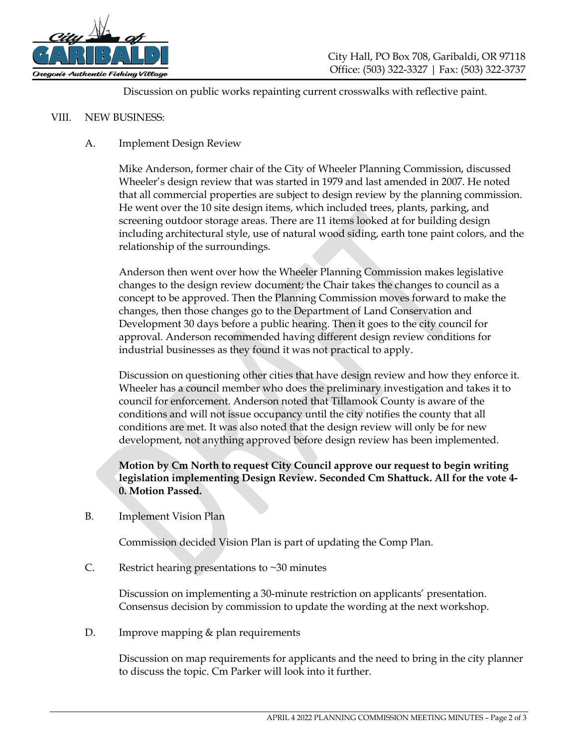

Discussion on public works repainting current crosswalks with reflective paint.

#### VIII. NEW BUSINESS:

### A. Implement Design Review

Mike Anderson, former chair of the City of Wheeler Planning Commission, discussed Wheeler's design review that was started in 1979 and last amended in 2007. He noted that all commercial properties are subject to design review by the planning commission. He went over the 10 site design items, which included trees, plants, parking, and screening outdoor storage areas. There are 11 items looked at for building design including architectural style, use of natural wood siding, earth tone paint colors, and the relationship of the surroundings.

Anderson then went over how the Wheeler Planning Commission makes legislative changes to the design review document; the Chair takes the changes to council as a concept to be approved. Then the Planning Commission moves forward to make the changes, then those changes go to the Department of Land Conservation and Development 30 days before a public hearing. Then it goes to the city council for approval. Anderson recommended having different design review conditions for industrial businesses as they found it was not practical to apply.

Discussion on questioning other cities that have design review and how they enforce it. Wheeler has a council member who does the preliminary investigation and takes it to council for enforcement. Anderson noted that Tillamook County is aware of the conditions and will not issue occupancy until the city notifies the county that all conditions are met. It was also noted that the design review will only be for new development, not anything approved before design review has been implemented.

## **Motion by Cm North to request City Council approve our request to begin writing legislation implementing Design Review. Seconded Cm Shattuck. All for the vote 4- 0. Motion Passed.**

B. Implement Vision Plan

Commission decided Vision Plan is part of updating the Comp Plan.

C. Restrict hearing presentations to  $\sim$  30 minutes

Discussion on implementing a 30-minute restriction on applicants' presentation. Consensus decision by commission to update the wording at the next workshop.

D. Improve mapping & plan requirements

Discussion on map requirements for applicants and the need to bring in the city planner to discuss the topic. Cm Parker will look into it further.